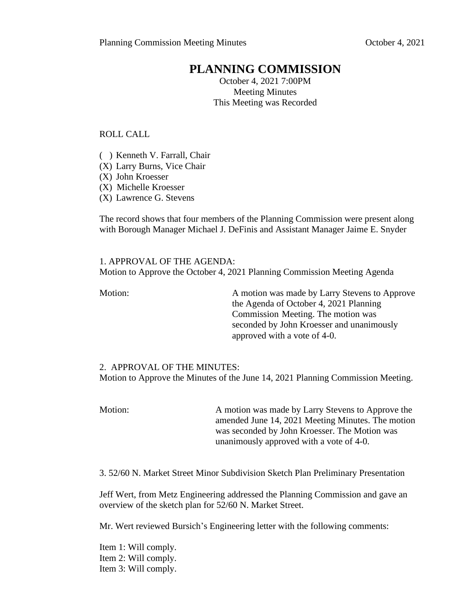# **PLANNING COMMISSION**

October 4, 2021 7:00PM Meeting Minutes This Meeting was Recorded

ROLL CALL

( ) Kenneth V. Farrall, Chair

- (X) Larry Burns, Vice Chair
- (X) John Kroesser
- (X) Michelle Kroesser
- (X) Lawrence G. Stevens

The record shows that four members of the Planning Commission were present along with Borough Manager Michael J. DeFinis and Assistant Manager Jaime E. Snyder

1. APPROVAL OF THE AGENDA: Motion to Approve the October 4, 2021 Planning Commission Meeting Agenda

Motion: A motion was made by Larry Stevens to Approve the Agenda of October 4, 2021 Planning Commission Meeting. The motion was seconded by John Kroesser and unanimously approved with a vote of 4-0.

## 2. APPROVAL OF THE MINUTES:

Motion to Approve the Minutes of the June 14, 2021 Planning Commission Meeting.

Motion: A motion was made by Larry Stevens to Approve the amended June 14, 2021 Meeting Minutes. The motion was seconded by John Kroesser. The Motion was unanimously approved with a vote of 4-0.

3. 52/60 N. Market Street Minor Subdivision Sketch Plan Preliminary Presentation

Jeff Wert, from Metz Engineering addressed the Planning Commission and gave an overview of the sketch plan for 52/60 N. Market Street.

Mr. Wert reviewed Bursich's Engineering letter with the following comments:

Item 1: Will comply. Item 2: Will comply. Item 3: Will comply.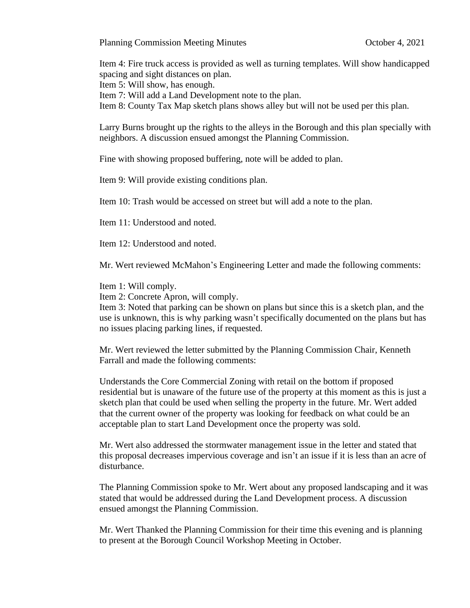Planning Commission Meeting Minutes October 4, 2021

Item 4: Fire truck access is provided as well as turning templates. Will show handicapped spacing and sight distances on plan.

Item 5: Will show, has enough.

Item 7: Will add a Land Development note to the plan.

Item 8: County Tax Map sketch plans shows alley but will not be used per this plan.

Larry Burns brought up the rights to the alleys in the Borough and this plan specially with neighbors. A discussion ensued amongst the Planning Commission.

Fine with showing proposed buffering, note will be added to plan.

Item 9: Will provide existing conditions plan.

Item 10: Trash would be accessed on street but will add a note to the plan.

Item 11: Understood and noted.

Item 12: Understood and noted.

Mr. Wert reviewed McMahon's Engineering Letter and made the following comments:

Item 1: Will comply.

Item 2: Concrete Apron, will comply.

Item 3: Noted that parking can be shown on plans but since this is a sketch plan, and the use is unknown, this is why parking wasn't specifically documented on the plans but has no issues placing parking lines, if requested.

Mr. Wert reviewed the letter submitted by the Planning Commission Chair, Kenneth Farrall and made the following comments:

Understands the Core Commercial Zoning with retail on the bottom if proposed residential but is unaware of the future use of the property at this moment as this is just a sketch plan that could be used when selling the property in the future. Mr. Wert added that the current owner of the property was looking for feedback on what could be an acceptable plan to start Land Development once the property was sold.

Mr. Wert also addressed the stormwater management issue in the letter and stated that this proposal decreases impervious coverage and isn't an issue if it is less than an acre of disturbance.

The Planning Commission spoke to Mr. Wert about any proposed landscaping and it was stated that would be addressed during the Land Development process. A discussion ensued amongst the Planning Commission.

Mr. Wert Thanked the Planning Commission for their time this evening and is planning to present at the Borough Council Workshop Meeting in October.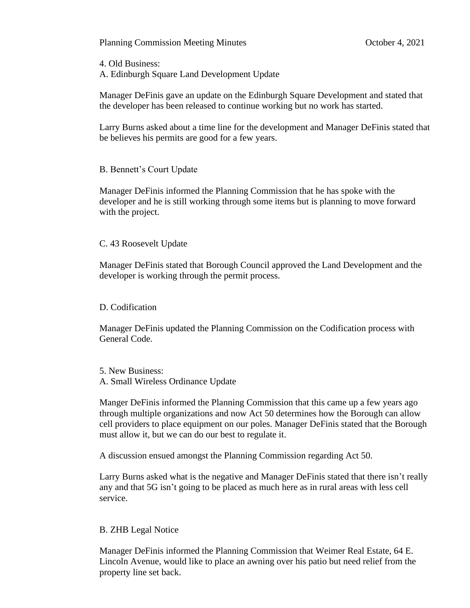Planning Commission Meeting Minutes October 4, 2021

4. Old Business:

A. Edinburgh Square Land Development Update

Manager DeFinis gave an update on the Edinburgh Square Development and stated that the developer has been released to continue working but no work has started.

Larry Burns asked about a time line for the development and Manager DeFinis stated that be believes his permits are good for a few years.

## B. Bennett's Court Update

Manager DeFinis informed the Planning Commission that he has spoke with the developer and he is still working through some items but is planning to move forward with the project.

## C. 43 Roosevelt Update

Manager DeFinis stated that Borough Council approved the Land Development and the developer is working through the permit process.

## D. Codification

Manager DeFinis updated the Planning Commission on the Codification process with General Code.

5. New Business: A. Small Wireless Ordinance Update

Manger DeFinis informed the Planning Commission that this came up a few years ago through multiple organizations and now Act 50 determines how the Borough can allow cell providers to place equipment on our poles. Manager DeFinis stated that the Borough must allow it, but we can do our best to regulate it.

A discussion ensued amongst the Planning Commission regarding Act 50.

Larry Burns asked what is the negative and Manager DeFinis stated that there isn't really any and that 5G isn't going to be placed as much here as in rural areas with less cell service.

## B. ZHB Legal Notice

Manager DeFinis informed the Planning Commission that Weimer Real Estate, 64 E. Lincoln Avenue, would like to place an awning over his patio but need relief from the property line set back.